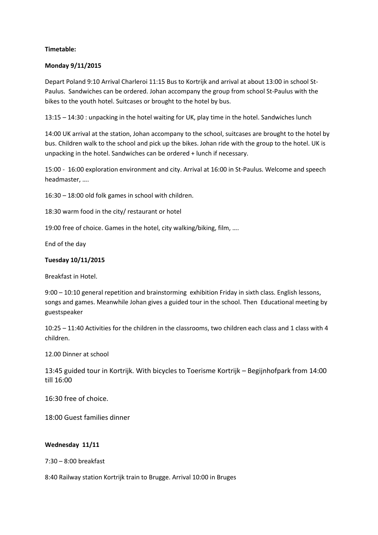# **Timetable:**

### **Monday 9/11/2015**

Depart Poland 9:10 Arrival Charleroi 11:15 Bus to Kortrijk and arrival at about 13:00 in school St-Paulus. Sandwiches can be ordered. Johan accompany the group from school St-Paulus with the bikes to the youth hotel. Suitcases or brought to the hotel by bus.

13:15 – 14:30 : unpacking in the hotel waiting for UK, play time in the hotel. Sandwiches lunch

14:00 UK arrival at the station, Johan accompany to the school, suitcases are brought to the hotel by bus. Children walk to the school and pick up the bikes. Johan ride with the group to the hotel. UK is unpacking in the hotel. Sandwiches can be ordered + lunch if necessary.

15:00 - 16:00 exploration environment and city. Arrival at 16:00 in St-Paulus. Welcome and speech headmaster, ….

16:30 – 18:00 old folk games in school with children.

18:30 warm food in the city/ restaurant or hotel

19:00 free of choice. Games in the hotel, city walking/biking, film, ….

End of the day

# **Tuesday 10/11/2015**

Breakfast in Hotel.

9:00 – 10:10 general repetition and brainstorming exhibition Friday in sixth class. English lessons, songs and games. Meanwhile Johan gives a guided tour in the school. Then Educational meeting by guestspeaker

10:25 – 11:40 Activities for the children in the classrooms, two children each class and 1 class with 4 children.

12.00 Dinner at school

13:45 guided tour in Kortrijk. With bicycles to Toerisme Kortrijk – Begijnhofpark from 14:00 till 16:00

16:30 free of choice.

18:00 Guest families dinner

#### **Wednesday 11/11**

7:30 – 8:00 breakfast

8:40 Railway station Kortrijk train to Brugge. Arrival 10:00 in Bruges